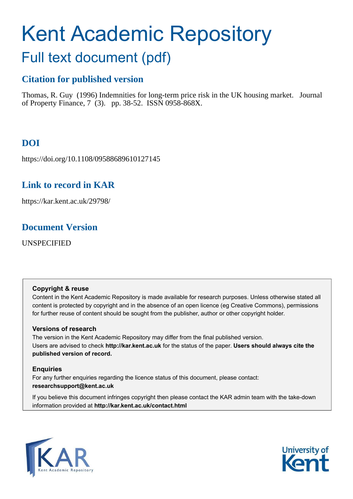# Kent Academic Repository

# Full text document (pdf)

## **Citation for published version**

Thomas, R. Guy (1996) Indemnities for long-term price risk in the UK housing market. Journal of Property Finance, 7 (3). pp. 38-52. ISSN 0958-868X.

## **DOI**

https://doi.org/10.1108/09588689610127145

## **Link to record in KAR**

https://kar.kent.ac.uk/29798/

## **Document Version**

UNSPECIFIED

#### **Copyright & reuse**

Content in the Kent Academic Repository is made available for research purposes. Unless otherwise stated all content is protected by copyright and in the absence of an open licence (eg Creative Commons), permissions for further reuse of content should be sought from the publisher, author or other copyright holder.

#### **Versions of research**

The version in the Kent Academic Repository may differ from the final published version. Users are advised to check **http://kar.kent.ac.uk** for the status of the paper. **Users should always cite the published version of record.**

#### **Enquiries**

For any further enquiries regarding the licence status of this document, please contact: **researchsupport@kent.ac.uk**

If you believe this document infringes copyright then please contact the KAR admin team with the take-down information provided at **http://kar.kent.ac.uk/contact.html**



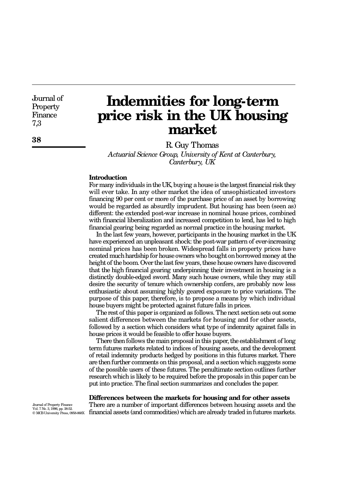**38**

## **Indemnities for long-term price risk in the UK housing market**

R. Guy Thomas

*Actuarial Science Group, University of Kent at Canterbury, Canterbury, UK*

#### **Introduction**

For many individuals in the UK, buying a house is the largest financial risk they will ever take. In any other market the idea of unsophisticated investors financing 90 per cent or more of the purchase price of an asset by borrowing would be regarded as absurdly imprudent. But housing has been (seen as) different: the extended post-war increase in nominal house prices, combined with financial liberalization and increased competition to lend, has led to high financial gearing being regarded as normal practice in the housing market.

In the last few years, however, participants in the housing market in the UK have experienced an unpleasant shock: the post-war pattern of ever-increasing nominal prices has been broken. Widespread falls in property prices have created much hardship for house owners who bought on borrowed money at the height of the boom. Over the last few years, these house owners have discovered that the high financial gearing underpinning their investment in housing is a distinctly double-edged sword. Many such house owners, while they may still desire the security of tenure which ownership confers, are probably now less enthusiastic about assuming highly geared exposure to price variations. The purpose of this paper, therefore, is to propose a means by which individual house buyers might be protected against future falls in prices.

The rest of this paper is organized as follows. The next section sets out some salient differences between the markets for housing and for other assets, followed by a section which considers what type of indemnity against falls in house prices it would be feasible to offer house buyers.

There then follows the main proposal in this paper, the establishment of long term futures markets related to indices of housing assets, and the development of retail indemnity products hedged by positions in this futures market. There are then further comments on this proposal, and a section which suggests some of the possible users of these futures. The penultimate section outlines further research which is likely to be required before the proposals in this paper can be put into practice. The final section summarizes and concludes the paper.

#### **Differences between the markets for housing and for other assets**

**Journal of Property Finance** Vol. 7 No. 3, 1996, pp. 38-52. vor. 7 No. 3, 1390, pp. 30-32.<br>© MCB University Press, 0958-868X

There are a number of important differences between housing assets and the financial assets (and commodities) which are already traded in futures markets.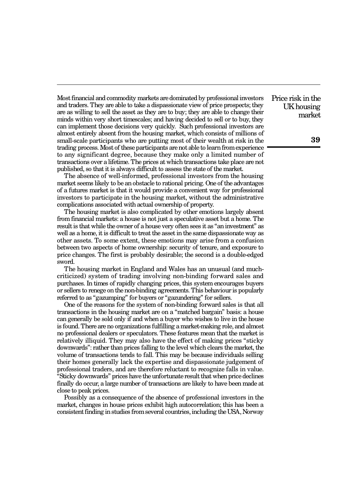Most financial and commodity markets are dominated by professional investors and traders. They are able to take a dispassionate view of price prospects; they are as willing to sell the asset as they are to buy; they are able to change their minds within very short timescales; and having decided to sell or to buy, they can implement those decisions very quickly. Such professional investors are almost entirely absent from the housing market, which consists of millions of small-scale participants who are putting most of their wealth at risk in the trading process. Most of these participants are not able to learn from experience to any significant degree, because they make only a limited number of transactions over a lifetime. The prices at which transactions take place are not published, so that it is always difficult to assess the state of the market.

The absence of well-informed, professional investors from the housing market seems likely to be an obstacle to rational pricing. One of the advantages of a futures market is that it would provide a convenient way for professional investors to participate in the housing market, without the administrative complications associated with actual ownership of property.

The housing market is also complicated by other emotions largely absent from financial markets: a house is not just a speculative asset but a home. The result is that while the owner of a house very often sees it as "an investment" as well as a home, it is difficult to treat the asset in the same dispassionate way as other assets. To some extent, these emotions may arise from a confusion between two aspects of home ownership: security of tenure, and exposure to price changes. The first is probably desirable; the second is a double-edged sword.

The housing market in England and Wales has an unusual (and muchcriticized) system of trading involving non-binding forward sales and purchases. In times of rapidly changing prices, this system encourages buyers or sellers to renege on the non-binding agreements. This behaviour is popularly referred to as "gazumping" for buyers or "gazundering" for sellers.

One of the reasons for the system of non-binding forward sales is that all transactions in the housing market are on a "matched bargain" basis: a house can generally be sold only if and when a buyer who wishes to live in the house is found. There are no organizations fulfilling a market-making role, and almost no professional dealers or speculators. These features mean that the market is relatively illiquid. They may also have the effect of making prices "sticky downwards": rather than prices falling to the level which clears the market, the volume of transactions tends to fall. This may be because individuals selling their homes generally lack the expertise and dispassionate judgement of professional traders, and are therefore reluctant to recognize falls in value. "Sticky downwards" prices have the unfortunate result that when price declines finally do occur, a large number of transactions are likely to have been made at close to peak prices.

Possibly as a consequence of the absence of professional investors in the market, changes in house prices exhibit high autocorrelation; this has been a consistent finding in studies from several countries, including the USA, Norway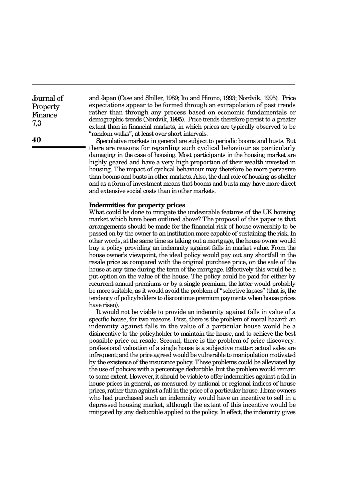**40**

and Japan (Case and Shiller, 1989; Ito and Hirono, 1993; Nordvik, 1995). Price expectations appear to be formed through an extrapolation of past trends rather than through any process based on economic fundamentals or demographic trends (Nordvik, 1995). Price trends therefore persist to a greater extent than in financial markets, in which prices are typically observed to be "random walks", at least over short intervals.

Speculative markets in general are subject to periodic booms and busts. But there are reasons for regarding such cyclical behaviour as particularly damaging in the case of housing. Most participants in the housing market are highly geared and have a very high proportion of their wealth invested in housing. The impact of cyclical behaviour may therefore be more pervasive than booms and busts in other markets. Also, the dual role of housing as shelter and as a form of investment means that booms and busts may have more direct and extensive social costs than in other markets.

#### **Indemnities for property prices**

What could be done to mitigate the undesirable features of the UK housing market which have been outlined above? The proposal of this paper is that arrangements should be made for the financial risk of house ownership to be passed on by the owner to an institution more capable of sustaining the risk. In other words, at the same time as taking out a mortgage, the house owner would buy a policy providing an indemnity against falls in market value. From the house owner's viewpoint, the ideal policy would pay out any shortfall in the resale price as compared with the original purchase price, on the sale of the house at any time during the term of the mortgage. Effectively this would be a put option on the value of the house. The policy could be paid for either by recurrent annual premiums or by a single premium; the latter would probably be more suitable, as it would avoid the problem of "selective lapses" (that is, the tendency of policyholders to discontinue premium payments when house prices have risen).

It would not be viable to provide an indemnity against falls in value of a specific house, for two reasons. First, there is the problem of moral hazard: an indemnity against falls in the value of a particular house would be a disincentive to the policyholder to maintain the house, and to achieve the best possible price on resale. Second, there is the problem of price discovery: professional valuation of a single house is a subjective matter; actual sales are infrequent; and the price agreed would be vulnerable to manipulation motivated by the existence of the insurance policy. These problems could be alleviated by the use of policies with a percentage deductible, but the problem would remain to some extent. However, it should be viable to offer indemnities against a fall in house prices in general, as measured by national or regional indices of house prices, rather than against a fall in the price of a particular house. Home owners who had purchased such an indemnity would have an incentive to sell in a depressed housing market, although the extent of this incentive would be mitigated by any deductible applied to the policy. In effect, the indemnity gives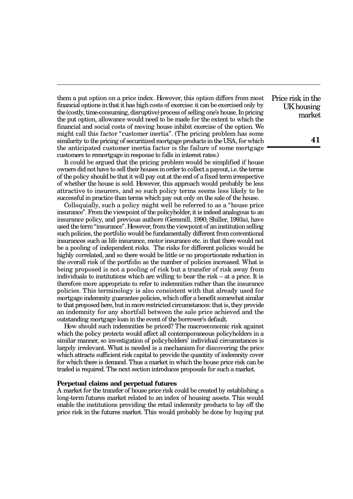them a put option on a price index. However, this option differs from most financial options in that it has high costs of exercise: it can be exercised only by the (costly, time-consuming, disruptive) process of selling one's house. In pricing the put option, allowance would need to be made for the extent to which the financial and social costs of moving house inhibit exercise of the option. We might call this factor "customer inertia". (The pricing problem has some similarity to the pricing of securitized mortgage products in the USA, for which the anticipated customer inertia factor is the failure of some mortgage customers to remortgage in response to falls in interest rates.)

It could be argued that the pricing problem would be simplified if house owners did not have to sell their houses in order to collect a payout, i.e. the terms of the policy should be that it will pay out at the end of a fixed term irrespective of whether the house is sold. However, this approach would probably be less attractive to insurers, and so such policy terms seems less likely to be successful in practice than terms which pay out only on the sale of the house.

Colloquially, such a policy might well be referred to as a "house price insurance". From the viewpoint of the policyholder, it is indeed analogous to an insurance policy, and previous authors (Gemmill, 1990; Shiller, 1993a), have used the term "insurance". However, from the viewpoint of an institution selling such policies, the portfolio would be fundamentally different from conventional insurances such as life insurance, motor insurance etc. in that there would not be a pooling of independent risks. The risks for different policies would be highly correlated, and so there would be little or no proportionate reduction in the overall risk of the portfolio as the number of policies increased. What is being proposed is not a pooling of risk but a transfer of risk away from individuals to institutions which are willing to bear the risk – at a price. It is therefore more appropriate to refer to indemnities rather than the insurance policies. This terminology is also consistent with that already used for mortgage indemnity guarantee policies, which offer a benefit somewhat similar to that proposed here, but in more restricted circumstances: that is, they provide an indemnity for any shortfall between the sale price achieved and the outstanding mortgage loan in the event of the borrower's default.

How should such indemnities be priced? The macroeconomic risk against which the policy protects would affect all contemporaneous policyholders in a similar manner, so investigation of policyholders' individual circumstances is largely irrelevant. What is needed is a mechanism for discovering the price which attracts sufficient risk capital to provide the quantity of indemnity cover for which there is demand. Thus a market in which the house price risk can be traded is required. The next section introduces proposals for such a market.

#### **Perpetual claims and perpetual futures**

A market for the transfer of house price risk could be created by establishing a long-term futures market related to an index of housing assets. This would enable the institutions providing the retail indemnity products to lay off the price risk in the futures market. This would probably be done by buying put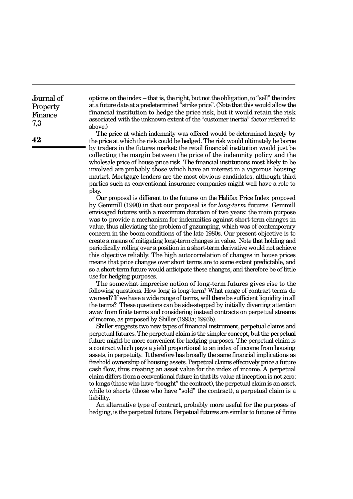**42**

options on the index – that is, the right, but not the obligation, to "sell" the index at a future date at a predetermined "strike price". (Note that this would allow the financial institution to hedge the price risk, but it would retain the risk associated with the unknown extent of the "customer inertia" factor referred to above.)

The price at which indemnity was offered would be determined largely by the price at which the risk could be hedged. The risk would ultimately be borne by traders in the futures market: the retail financial institution would just be collecting the margin between the price of the indemnity policy and the wholesale price of house price risk. The financial institutions most likely to be involved are probably those which have an interest in a vigorous housing market. Mortgage lenders are the most obvious candidates, although third parties such as conventional insurance companies might well have a role to play.

Our proposal is different to the futures on the Halifax Price Index proposed by Gemmill (1990) in that our proposal is for *long-term* futures. Gemmill envisaged futures with a maximum duration of two years: the main purpose was to provide a mechanism for indemnities against short-term changes in value, thus alleviating the problem of gazumping, which was of contemporary concern in the boom conditions of the late 1980s. Our present objective is to create a means of mitigating long-term changes in value. Note that holding and periodically rolling over a position in a short-term derivative would not achieve this objective reliably. The high autocorrelation of changes in house prices means that price changes over short terms are to some extent predictable, and so a short-term future would anticipate these changes, and therefore be of little use for hedging purposes.

The somewhat imprecise notion of long-term futures gives rise to the following questions. How long is long-term? What range of contract terms do we need? If we have a wide range of terms, will there be sufficient liquidity in all the terms? These questions can be side-stepped by initially diverting attention away from finite terms and considering instead contracts on perpetual streams of income, as proposed by Shiller (1993a; 1993b).

Shiller suggests two new types of financial instrument, perpetual claims and perpetual futures. The perpetual claim is the simpler concept, but the perpetual future might be more convenient for hedging purposes. The perpetual claim is a contract which pays a yield proportional to an index of income from housing assets, in perpetuity. It therefore has broadly the same financial implications as freehold ownership of housing assets. Perpetual claims effectively price a future cash flow, thus creating an asset value for the index of income. A perpetual claim differs from a conventional future in that its value at inception is not zero: to longs (those who have "bought" the contract), the perpetual claim is an asset, while to shorts (those who have "sold" the contract), a perpetual claim is a liability.

An alternative type of contract, probably more useful for the purposes of hedging, is the perpetual future. Perpetual futures are similar to futures of finite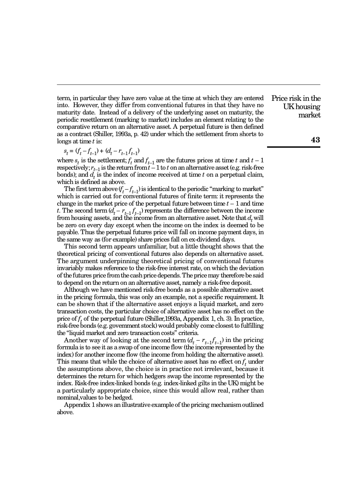term, in particular they have zero value at the time at which they are entered into. However, they differ from conventional futures in that they have no maturity date. Instead of a delivery of the underlying asset on maturity, the periodic resettlement (marking to market) includes an element relating to the comparative return on an alternative asset. A perpetual future is then defined as a contract (Shiller, 1993a, p. 42) under which the settlement from shorts to longs at time *t* is:

$$
s_t = (f_t - f_{t-1}) + (d_t - r_{t-1}f_{t-1})
$$

where  $s_t$  is the settlement;  $f_t$  and  $f_{t-1}$  are the futures prices at time  $t$  and  $t-1$  $\text{respectively}; r_{t-1} \text{ is the return from } t-1 \text{ to } t \text{ on an alternative asset (e.g. risk-free})$ bonds); and  $d_t$  is the index of income received at time  $t$  on a perpetual claim, which is defined as above.

The first term above  $(f_t - f_{t-1})$  is identical to the periodic "marking to market" which is carried out for conventional futures of finite term: it represents the change in the market price of the perpetual future between time  $t - 1$  and time *t*. The second term  $(d_t - r_{t-1} f_{t-1})$  represents the difference between the income from housing assets, and the income from an alternative asset. Note that  $d_t$  will be zero on every day except when the income on the index is deemed to be payable. Thus the perpetual futures price will fall on income payment days, in the same way as (for example) share prices fall on ex-dividend days.

This second term appears unfamiliar, but a little thought shows that the theoretical pricing of conventional futures also depends on alternative asset. The argument underpinning theoretical pricing of conventional futures invariably makes reference to the risk-free interest rate, on which the deviation of the futures price from the cash price depends. The price may therefore be said to depend on the return on an alternative asset, namely a risk-free deposit.

Although we have mentioned risk-free bonds as a possible alternative asset in the pricing formula, this was only an example, not a specific requirement. It can be shown that if the alternative asset enjoys a liquid market, and zero transaction costs, the particular choice of alternative asset has no effect on the price of  $f_t$  of the perpetual future (Shiller, 1993a, Appendix 1, ch. 3). In practice, risk-free bonds (e.g. govemment stock) would probably come closest to fulfilling the "liquid market and zero transaction costs" criteria.

Another way of looking at the second term  $(d_t - r_{t-1}f_{t-1})$  in the pricing formula is to see it as a swap of one income flow (the income represented by the index) for another income flow (the income from holding the alternative asset). This means that while the choice of alternative asset has no effect on  $f_t$  under the assumptions above, the choice is in practice not irrelevant, because it determines the return for which hedgers swap the income represented by the index. Risk-free index-linked bonds (e.g. index-linked gilts in the UK) might be a particularly appropriate choice, since this would allow real, rather than nominal,values to be hedged.

Appendix 1 shows an illustrative example of the pricing mechanism outlined above.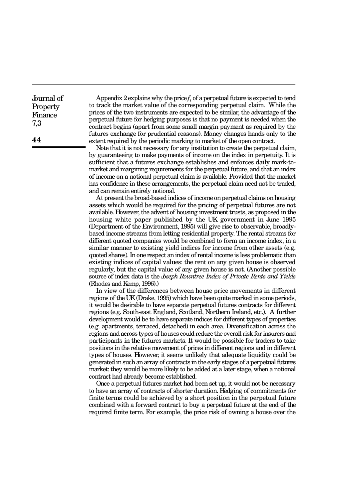**44**

Appendix 2 explains why the price  $f_t$  of a perpetual future is expected to tend to track the market value of the corresponding perpetual claim. While the prices of the two instruments are expected to be similar, the advantage of the perpetual future for hedging purposes is that no payment is needed when the contract begins (apart from some small margin payment as required by the futures exchange for prudential reasons). Money changes hands only to the extent required by the periodic marking to market of the open contract.

Note that it is not necessary for any institution to create the perpetual claim, by guaranteeing to make payments of income on the index in perpetuity. It is sufficient that a futures exchange establishes and enforces daily mark-tomarket and margining requirements for the perpetual future, and that an index of income on a notional perpetual claim is available. Provided that the market has confidence in these arrangements, the perpetual claim need not be traded, and can remain entirely notional.

At present the broad-based indices of income on perpetual claims on housing assets which would be required for the pricing of perpetual futures are not available. However, the advent of housing investment trusts, as proposed in the housing white paper published by the UK government in June 1995 (Department of the Environment, 1995) will give rise to observable, broadlybased income streams from letting residential property. The rental streams for different quoted companies would be combined to form an income index, in a similar manner to existing yield indices for income from other assets (e.g. quoted shares). In one respect an index of rental income is less problematic than existing indices of capital values: the rent on any given house is observed regularly, but the capital value of any given house is not. (Another possible source of index data is the *Joseph Rowntree Index of Private Rents and Yields* (Rhodes and Kemp, 1996).)

In view of the differences between house price movements in different regions of the UK (Drake, 1995) which have been quite marked in some periods, it would be desirable to have separate perpetual futures contracts for different regions (e.g. South-east England, Scotland, Northern Ireland, etc.). A further development would be to have separate indices for different types of properties (e.g. apartments, terraced, detached) in each area. Diversification across the regions and across types of houses could reduce the overall risk for insurers and participants in the futures markets. It would be possible for traders to take positions in the relative movement of prices in different regions and in different types of houses. However, it seems unlikely that adequate liquidity could be generated in such an array of contracts in the early stages of a perpetual futures market: they would be more likely to be added at a later stage, when a notional contract had already become established.

Once a perpetual futures market had been set up, it would not be necessary to have an array of contracts of shorter duration. Hedging of commitments for finite terms could be achieved by a short position in the perpetual future combined with a forward contract to buy a perpetual future at the end of the required finite term. For example, the price risk of owning a house over the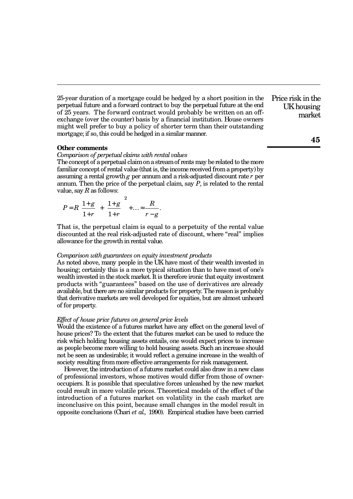25-year duration of a mortgage could be hedged by a short position in the perpetual future and a forward contract to buy the perpetual future at the end of 25 years. The forward contract would probably be written on an offexchange (over the counter) basis by a financial institution. House owners might well prefer to buy a policy of shorter term than their outstanding mortgage; if so, this could be hedged in a similar manner.

#### **Other comments**

*Comparison of perpetual claims with rental values*

The concept of a perpetual claim on a stream of rents may be related to the more familiar concept of rental value (that is, the income received from a property) by assuming a rental growth *g* per annum and a risk-adjusted discount rate *r* per annum. Then the price of the perpetual claim, say *P*, is related to the rental value, say *R* as follows:

$$
P = R \left( \frac{1+g}{1+r} \right) + \left( \frac{1+g}{1+r} \right)^2 + \dots \approx \frac{R}{r-g}.
$$

That is, the perpetual claim is equal to a perpetuity of the rental value discounted at the real risk-adjusted rate of discount, where "real" implies allowance for the growth in rental value.

#### *Comparison with guarantees on equity investment products*

As noted above, many people in the UK have most of their wealth invested in housing; certainly this is a more typical situation than to have most of one's wealth invested in the stock market. It is therefore ironic that equity investment products with "guarantees" based on the use of derivatives are already available, but there are no similar products for property. The reason is probably that derivative markets are well developed for equities, but are almost unheard of for property.

#### *Effect of house price futures on general price levels*

Would the existence of a futures market have any effect on the general level of house prices? To the extent that the futures market can be used to reduce the risk which holding housing assets entails, one would expect prices to increase as people become more willing to hold housing assets. Such an increase should not be seen as undesirable; it would reflect a genuine increase in the wealth of society resulting from more effective arrangements for risk management.

However, the introduction of a futures market could also draw in a new class of professional investors, whose motives would differ from those of owneroccupiers. It is possible that speculative forces unleashed by the new market could result in more volatile prices. Theoretical models of the effect of the introduction of a futures market on volatility in the cash market are inconclusive on this point, because small changes in the model result in opposite conclusions (Chari *et al.,* 1990). Empirical studies have been carried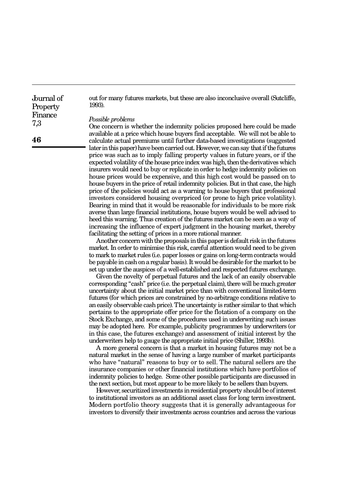**46**

out for many futures markets, but these are also inconclusive overall (Sutcliffe, 1993).

#### *Possible problems*

One concern is whether the indemnity policies proposed here could be made available at a price which house buyers find acceptable. We will not be able to calculate actual premiums until further data-based investigations (suggested later in this paper) have been carried out. However, we can say that if the futures price was such as to imply falling property values in future years, or if the expected volatility of the house price index was high, then the derivatives which insurers would need to buy or replicate in order to hedge indemnity policies on house prices would be expensive, and this high cost would be passed on to house buyers in the price of retail indemnity policies. But in that case, the high price of the policies would act as a warning to house buyers that professional investors considered housing overpriced (or prone to high price volatility). Bearing in mind that it would be reasonable for individuals to be more risk averse than large financial institutions, house buyers would be well advised to heed this warning. Thus creation of the futures market can be seen as a way of increasing the influence of expert judgment in the housing market, thereby facilitating the setting of prices in a more rational manner.

Another concern with the proposals in this paper is default risk in the futures market. In order to minimise this risk, careful attention would need to be given to mark to market rules (i.e. paper losses or gains on long-term contracts would be payable in cash on a regular basis). It would be desirable for the market to be set up under the auspices of a well-established and respected futures exchange.

Given the novelty of perpetual futures and the lack of an easily observable corresponding "cash" price (i.e. the perpetual claim), there will be much greater uncertainty about the initial market price than with conventional limited-term futures (for which prices are constrained by no-arbitrage conditions relative to an easily observable cash price). The uncertainty is rather similar to that which pertains to the appropriate offer price for the flotation of a company on the Stock Exchange, and some of the procedures used in underwriting such issues may be adopted here. For example, publicity programmes by underwriters (or in this case, the futures exchange) and assessment of initial interest by the underwriters help to gauge the appropriate initial price (Shiller, 1993b).

A more general concern is that a market in housing futures may not be a natural market in the sense of having a large number of market participants who have "natural" reasons to buy or to sell. The natural sellers are the insurance companies or other financial institutions which have portfolios of indemnity policies to hedge. Some other possible participants are discussed in the next section, but most appear to be more likely to be sellers than buyers.

However, securitized investments in residential property should be of interest to institutional investors as an additional asset class for long term investment. Modern portfolio theory suggests that it is generally advantageous for investors to diversify their investments across countries and across the various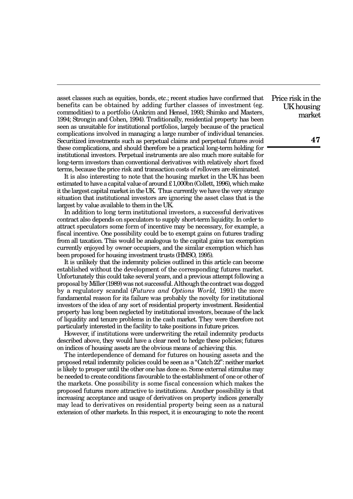asset classes such as equities, bonds, etc.; recent studies have confirmed that benefits can be obtained by adding further classes of investment (eg. commodities) to a portfolio (Ankrim and Hensel, 1993; Shimko and Masters, 1994; Strongin and Cohen, 1994). Traditionally, residential property has been seen as unsuitable for institutional portfolios, largely because of the practical complications involved in managing a large number of individual tenancies. Securitized investments such as perpetual claims and perpetual futures avoid these complications, and should therefore be a practical long-term holding for institutional investors. Perpetual instruments are also much more suitable for long-term investors than conventional derivatives with relatively short fixed terms, because the price risk and transaction costs of rollovers are eliminated.

It is also interesting to note that the housing market in the UK has been estimated to have a capital value of around £1,000bn (Collett, 1996), which make it the largest capital market in the UK. Thus currently we have the very strange situation that institutional investors are ignoring the asset class that is the largest by value available to them in the UK.

In addition to long term institutional investors, a successful derivatives contract also depends on speculators to supply short-term liquidity. In order to attract speculators some form of incentive may be necessary, for example, a fiscal incentive. One possibility could be to exempt gains on futures trading from all taxation. This would be analogous to the capital gains tax exemption currently enjoyed by owner occupiers, and the similar exemption which has been proposed for housing investment trusts (HMSO, 1995).

It is unlikely that the indemnity policies outlined in this article can become established without the development of the corresponding futures market. Unfortunately this could take several years, and a previous attempt following a proposal by Miller (1989) was not successful. Although the contract was dogged by a regulatory scandal (*Futures and Options World,* 1991) the more fundamental reason for its failure was probably the novelty for institutional investors of the idea of any sort of residential property investment. Residential property has long been neglected by institutional investors, because of the lack of liquidity and tenure problems in the cash market. They were therefore not particularly interested in the facility to take positions in future prices.

However, if institutions were underwriting the retail indemnity products described above, they would have a clear need to hedge these policies; futures on indices of housing assets are the obvious means of achieving this.

The interdependence of demand for futures on housing assets and the proposed retail indemnity policies could be seen as a "Catch 22": neither market is likely to prosper until the other one has done so. Some external stimulus may be needed to create conditions favourable to the establishment of one or other of the markets. One possibility is some fiscal concession which makes the proposed futures more attractive to institutions. Another possibility is that increasing acceptance and usage of derivatives on property indices generally may lead to derivatives on residential property being seen as a natural extension of other markets. In this respect, it is encouraging to note the recent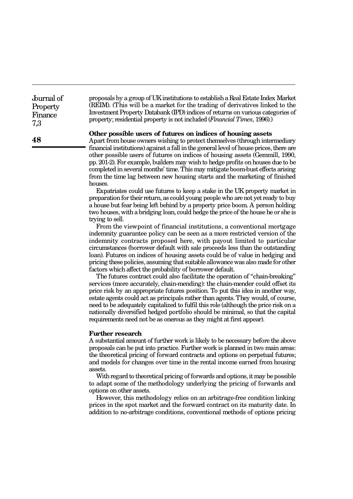**48**

proposals by a group of UK institutions to establish a Real Estate Index Market (REIM). (This will be a market for the trading of derivatives linked to the Investment Property Databank (IPD) indices of returns on various categories of property; residential property is not included (*Financial Times*, 1996).)

#### **Other possible users of futures on indices of housing assets**

Apart from house owners wishing to protect themselves (through intermediary financial institutions) against a fall in the general level of house prices, there are other possible users of futures on indices of housing assets (Gemmill, 1990, pp. 201-2). For example, builders may wish to hedge profits on houses due to be completed in several months' time. This may mitigate boom-bust effects arising from the time lag between new housing starts and the marketing of finished houses.

Expatriates could use futures to keep a stake in the UK property market in preparation for their return, as could young people who are not yet ready to buy a house but fear being left behind by a property price boom. A person holding two houses, with a bridging loan, could hedge the price of the house he or she is trying to sell.

From the viewpoint of financial institutions, a conventional mortgage indemnity guarantee policy can be seen as a more restricted version of the indemnity contracts proposed here, with payout limited to particular circumstances (borrower default with sale proceeds less than the outstanding loan). Futures on indices of housing assets could be of value in hedging and pricing these policies, assuming that suitable allowance was also made for other factors which affect the probability of borrower default.

The futures contract could also facilitate the operation of "chain-breaking" services (more accurately, chain-mending): the chain-mender could offset its price risk by an appropriate futures position. To put this idea in another way, estate agents could act as principals rather than agents. They would, of course, need to be adequately capitalized to fulfil this role (although the price risk on a nationally diversified hedged portfolio should be minimal, so that the capital requirements need not be as onerous as they might at first appear).

#### **Further research**

A substantial amount of further work is likely to be necessary before the above proposals can be put into practice. Further work is planned in two main areas: the theoretical pricing of forward contracts and options on perpetual futures; and models for changes over time in the rental income earned from housing assets.

With regard to theoretical pricing of forwards and options, it may be possible to adapt some of the methodology underlying the pricing of forwards and options on other assets.

However, this methodology relies on an arbitrage-free condition linking prices in the spot market and the forward contract on its maturity date. In addition to no-arbitrage conditions, conventional methods of options pricing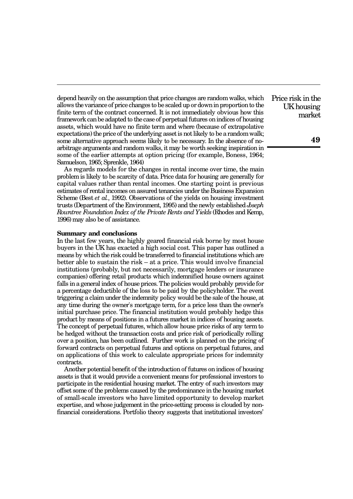depend heavily on the assumption that price changes are random walks, which allows the variance of price changes to be scaled up or down in proportion to the finite term of the contract concerned. It is not immediately obvious how this framework can be adapted to the case of perpetual futures on indices of housing assets, which would have no finite term and where (because of extrapolative expectations) the price of the underlying asset is not likely to be a random walk; some alternative approach seems likely to be necessary. In the absence of noarbitrage arguments and random walks, it may be worth seeking inspiration in some of the earlier attempts at option pricing (for example, Boness, 1964; Samuelson, 1965; Sprenkle, 1964)

As regards models for the changes in rental income over time, the main problem is likely to be scarcity of data. Price data for housing are generally for capital values rather than rental incomes. One starting point is previous estimates of rental incomes on assured tenancies under the Business Expansion Scheme (Best *et al.*, 1992). Observations of the yields on housing investment trusts (Department of the Environment, 1995) and the newly established *Joseph Rowntree Foundation Index of the Private Rents and Yields* (Rhodes and Kemp, 1996) may also be of assistance.

#### **Summary and conclusions**

In the last few years, the highly geared financial risk borne by most house buyers in the UK has exacted a high social cost. This paper has outlined a means by which the risk could be transferred to financial institutions which are better able to sustain the risk – at a price. This would involve financial institutions (probably, but not necessarily, mortgage lenders or insurance companies) offering retail products which indemnified house owners against falls in a general index of house prices. The policies would probably provide for a percentage deductible of the loss to be paid by the policyholder. The event triggering a claim under the indemnity policy would be the sale of the house, at any time during the owner's mortgage term, for a price less than the owner's initial purchase price. The financial institution would probably hedge this product by means of positions in a futures market in indices of housing assets. The concept of perpetual futures, which allow house price risks of any term to be hedged without the transaction costs and price risk of periodically rolling over a position, has been outlined. Further work is planned on the pricing of forward contracts on perpetual futures and options on perpetual futures, and on applications of this work to calculate appropriate prices for indemnity contracts.

Another potential benefit of the introduction of futures on indices of housing assets is that it would provide a convenient means for professional investors to participate in the residential housing market. The entry of such investors may offset some of the problems caused by the predominance in the housing market of small-scale investors who have limited opportunity to develop market expertise, and whose judgement in the price-setting process is clouded by nonfinancial considerations. Portfolio theory suggests that institutional investors'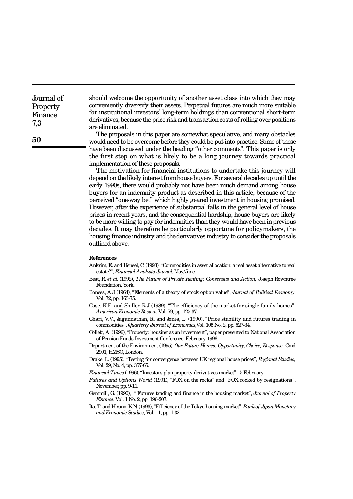**50**

should welcome the opportunity of another asset class into which they may conveniently diversify their assets. Perpetual futures are much more suitable for institutional investors' long-term holdings than conventional short-term derivatives, because the price risk and transaction costs of rolling over positions are eliminated.

The proposals in this paper are somewhat speculative, and many obstacles would need to be overcome before they could be put into practice. Some of these have been discussed under the heading "other comments". This paper is only the first step on what is likely to be a long journey towards practical implementation of these proposals.

The motivation for financial institutions to undertake this journey will depend on the likely interest from house buyers. For several decades up until the early 1990s, there would probably not have been much demand among house buyers for an indemnity product as described in this article, because of the perceived "one-way bet" which highly geared investment in housing promised. However, after the experience of substantial falls in the general level of house prices in recent years, and the consequential hardship, house buyers are likely to be more willing to pay for indemnities than they would have been in previous decades. It may therefore be particularly opportune for policymakers, the housing finance industry and the derivatives industry to consider the proposals outlined above.

#### **References**

- Ankrim, E. and Hensel, C. (1993), "Commodities in asset allocation: a real asset alternative to real estate?", *Financial Analysts Journal*, May/June.
- Best, R. *et al.* (1992), *The Future of Private Renting: Consensus and Action,* Joseph Rowntree Foundation, York.
- Boness, A.J. (1964), "Elements of a theory of stock option value", *Journal of Political Economy*, Vol. 72, pp. 163-75.
- Case, K.E. and Shiller, R.J. (1989), "The efficiency of the market for single family homes", *American Economic Review*, Vol. 79, pp. 125-37.
- Chari, V.V., Jagannathan, R. and Jones, L. (1990), "Price stability and futures trading in commodities", *Quarterly Journal of Economics*,Vol. 105 No. 2, pp. 527-34.
- Collett, A. (1996), "Property: housing as an investment", paper presented to National Association of Pension Funds Investment Conference, February 1996.
- Department of the Environment (1995), *Our Future Homes: Opportunity*, *Choice, Response,* Cmd 2901, HMSO, London.
- Drake, L. (1995), "Testing for convergence between UK regional house prices", *Regional Studies,* Vol. 29, No. 4, pp. 357-65.
- *Financial Times* (1996), "Investors plan property derivatives market", 5 February.
- *Futures and Options World* (1991), "FOX on the rocks" and "FOX rocked by resignations", November, pp. 9-11.
- Gemmill, G. (1990), " Futures trading and finance in the housing market", *Journal of Property Finance*, Vol. 1 No. 2, pp. 196-207.
- Ito, T. and Hirono, K.N. (1993), "Efficiency of the Tokyo housing market", *Bank of Japan Monetary and Economic Studies*, Vol. 11, pp. 1-32.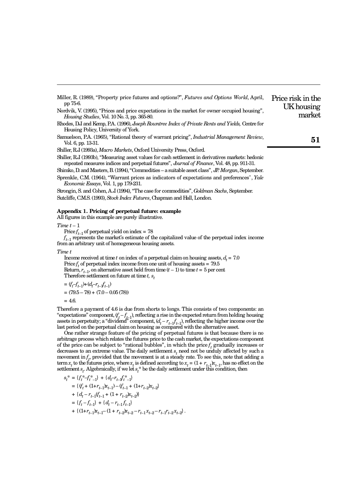| Miller, R. (1989), "Property price futures and options?", Futures and Options World, April, Price risk in the |                   |
|---------------------------------------------------------------------------------------------------------------|-------------------|
| pp 75-6.                                                                                                      | <b>IK</b> housing |

- Nordvik, V. (1995), "Prices and price expectations in the market for owner occupied housing", *Housing Studies*, Vol. 10 No. 3, pp. 365-80.
- Rhodes, D.J. and Kemp, P.A. (1996), *Joseph Rowntree Index of Private Rents and Yields,* Centre for Housing Policy, University of York.
- Samuelson, P.A. (1965), "Rational theory of warrant pricing", *Industrial Management Review*, Vol. 6, pp. 13-31.

Shiller, R.J. (1993a), *Macro Markets*, Oxford University Press, Oxford.

Shiller, R.J. (1993b), "Measuring asset values for cash settlement in derivatives markets: hedonic repeated measures indices and perpetual futures", *Journal of Finance*, Vol. 48, pp. 911-31.

Shimko, D. and Masters, B. (1994), "Commodities – a suitable asset class", *J.P. Morgan*, September. Sprenkle, C.M. (1964), "Warrant prices as indicators of expectations and preferences", *Yale*

*Economic Essays*, Vol. 1, pp 179-231.

Strongin, S. and Cohen, A.J. (1994), "The case for commodities", *Goldman Sachs*, September. Sutcliffe, C.M.S. (1993), *Stock Index Futures*, Chapman and Hall, London.

#### **Appendix 1. Pricing of perpetual future: example**

All figures in this example are purely illustrative.

*Time t –* 1

Price  $f_{t-1}$  of perpetual yield on index = 78

 $f_{t-1}$  represents the market's estimate of the capitalized value of the perpetual index income from an arbitrary unit of homogeneous housing assets.

*Time t*

Income received at time *t* on index of a perpetual claim on housing assets,  $d<sub>i</sub> = 7.0$ Price  $f_t$  of perpetual index income from one unit of housing assets =  $79.5$ Fince  $t_t$  or perpetual mass module from one time of housing assets  $\epsilon$  1.5.5<br>Return,  $r_{t-1}$ , on alternative asset held from time  $(t-1)$  to time  $t=5$  per cent Therefore settlement on future at time *t, s<sup>t</sup>*

 $=(f_t - f_{t-1}) + (d_t - r_{t-1} - f_{t-1})$ 

 $=(79.5 - 78) + (7.0 - 0.05(78))$ 

 $= 4.6.$ 

Therefore a payment of 4.6 is due from shorts to longs. This consists of two components: an "expectations" component,  $(f_t - f_{t-1})$ , reflecting a rise in the expected return from holding housing assets in perpetuity; a "dividend" component,  $(d_t - r_{t-1}f_{t-1})$ , reflecting the higher income over the last period on the perpetual claim on housing as compared with the alternative asset.

One rather strange feature of the pricing of perpetual futures is that because there is no arbitrage process which relates the futures price to the cash market, the expectations component of the price can be subject to "rational bubbles", in which the price *f t* gradually increases or decreases to an extreme value. The daily settlement  $s_t$  need not be unduly affected by such a movement in  $f_t$ , provided that the movement is at a steady rate. To see this, note that adding a term  $x_t$  to the futures price, where  $x_t$  is defined according to  $x_t = (1 + r_{t-1})x_{t-1}$ , has no effect on the settlement  $s_t$ . Algebraically, if we let  $s_t^*$  be the daily settlement under this condition, then

$$
s_t^* = \{f_t^* - f_{t-1}^* \} + \{d_t - r_{t-1}f_{t-1}^*\}
$$
  
\n
$$
= \{f_t + (1 + r_{t-1})x_{t-1}\} - (f_{t-1} + (1 + r_{t-2})x_{t-2}\}
$$
  
\n
$$
+ \{d_t - r_{t-1}(f_{t-1} + (1 + r_{t-2})x_{t-2})\}
$$
  
\n
$$
= \{f_t - f_{t-1}\} + \{d_t - r_{t-1}f_{t-1}\}
$$
  
\n
$$
+ \{(1 + r_{t-1})x_{t-1} - (1 + r_{t-2})x_{t-2} - r_{t-1}x_{t-2} - r_{t-1}r_{t-2}x_{t-2}\}.
$$

#### **51**